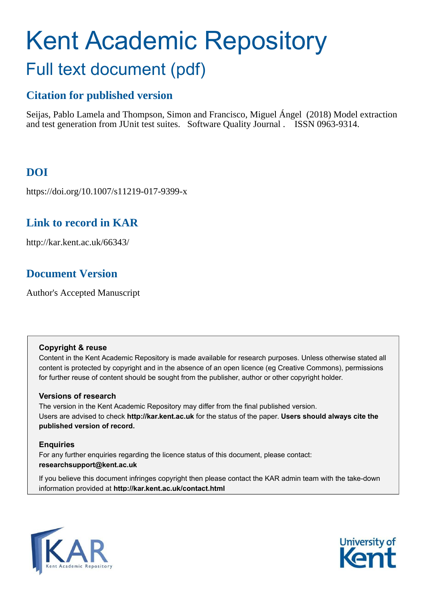# Kent Academic Repository Full text document (pdf)

# **Citation for published version**

Seijas, Pablo Lamela and Thompson, Simon and Francisco, Miguel Ángel (2018) Model extraction and test generation from JUnit test suites. Software Quality Journal . ISSN 0963-9314.

# **DOI**

https://doi.org/10.1007/s11219-017-9399-x

# **Link to record in KAR**

http://kar.kent.ac.uk/66343/

# **Document Version**

Author's Accepted Manuscript

## **Copyright & reuse**

Content in the Kent Academic Repository is made available for research purposes. Unless otherwise stated all content is protected by copyright and in the absence of an open licence (eg Creative Commons), permissions for further reuse of content should be sought from the publisher, author or other copyright holder.

## **Versions of research**

The version in the Kent Academic Repository may differ from the final published version. Users are advised to check **http://kar.kent.ac.uk** for the status of the paper. **Users should always cite the published version of record.**

## **Enquiries**

For any further enquiries regarding the licence status of this document, please contact: **researchsupport@kent.ac.uk**

If you believe this document infringes copyright then please contact the KAR admin team with the take-down information provided at **http://kar.kent.ac.uk/contact.html**



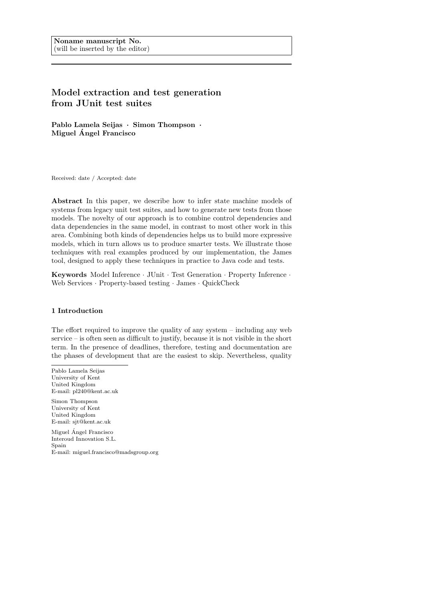## Model extraction and test generation from JUnit test suites

Pablo Lamela Seijas · Simon Thompson · Miguel Angel Francisco ´

Received: date / Accepted: date

Abstract In this paper, we describe how to infer state machine models of systems from legacy unit test suites, and how to generate new tests from those models. The novelty of our approach is to combine control dependencies and data dependencies in the same model, in contrast to most other work in this area. Combining both kinds of dependencies helps us to build more expressive models, which in turn allows us to produce smarter tests. We illustrate those techniques with real examples produced by our implementation, the James tool, designed to apply these techniques in practice to Java code and tests.

Keywords Model Inference · JUnit · Test Generation · Property Inference · Web Services · Property-based testing · James · QuickCheck

#### 1 Introduction

The effort required to improve the quality of any system – including any web service – is often seen as difficult to justify, because it is not visible in the short term. In the presence of deadlines, therefore, testing and documentation are the phases of development that are the easiest to skip. Nevertheless, quality

Pablo Lamela Seijas University of Kent United Kingdom E-mail: pl240@kent.ac.uk

Simon Thompson University of Kent United Kingdom E-mail: sjt@kent.ac.uk

Miguel Angel Francisco ´ Interoud Innovation S.L. Spain E-mail: miguel.francisco@madsgroup.org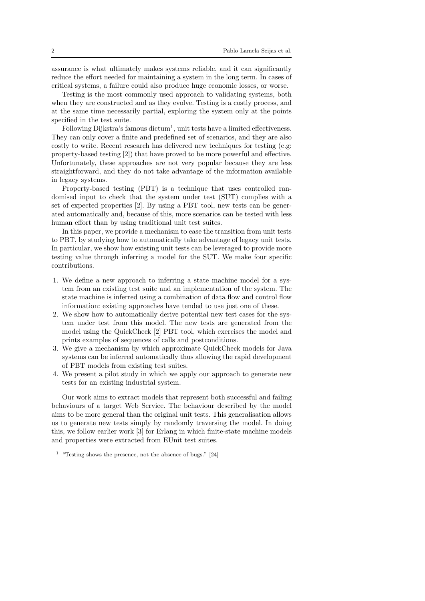assurance is what ultimately makes systems reliable, and it can significantly reduce the effort needed for maintaining a system in the long term. In cases of critical systems, a failure could also produce huge economic losses, or worse.

Testing is the most commonly used approach to validating systems, both when they are constructed and as they evolve. Testing is a costly process, and at the same time necessarily partial, exploring the system only at the points specified in the test suite.

Following Dijkstra's famous dictum<sup>1</sup>, unit tests have a limited effectiveness. They can only cover a finite and predefined set of scenarios, and they are also costly to write. Recent research has delivered new techniques for testing (e.g: property-based testing [2]) that have proved to be more powerful and effective. Unfortunately, these approaches are not very popular because they are less straightforward, and they do not take advantage of the information available in legacy systems.

Property-based testing (PBT) is a technique that uses controlled randomised input to check that the system under test (SUT) complies with a set of expected properties [2]. By using a PBT tool, new tests can be generated automatically and, because of this, more scenarios can be tested with less human effort than by using traditional unit test suites.

In this paper, we provide a mechanism to ease the transition from unit tests to PBT, by studying how to automatically take advantage of legacy unit tests. In particular, we show how existing unit tests can be leveraged to provide more testing value through inferring a model for the SUT. We make four specific contributions.

- 1. We define a new approach to inferring a state machine model for a system from an existing test suite and an implementation of the system. The state machine is inferred using a combination of data flow and control flow information: existing approaches have tended to use just one of these.
- 2. We show how to automatically derive potential new test cases for the system under test from this model. The new tests are generated from the model using the QuickCheck [2] PBT tool, which exercises the model and prints examples of sequences of calls and postconditions.
- 3. We give a mechanism by which approximate QuickCheck models for Java systems can be inferred automatically thus allowing the rapid development of PBT models from existing test suites.
- 4. We present a pilot study in which we apply our approach to generate new tests for an existing industrial system.

Our work aims to extract models that represent both successful and failing behaviours of a target Web Service. The behaviour described by the model aims to be more general than the original unit tests. This generalisation allows us to generate new tests simply by randomly traversing the model. In doing this, we follow earlier work [3] for Erlang in which finite-state machine models and properties were extracted from EUnit test suites.

 $1$  "Testing shows the presence, not the absence of bugs." [24]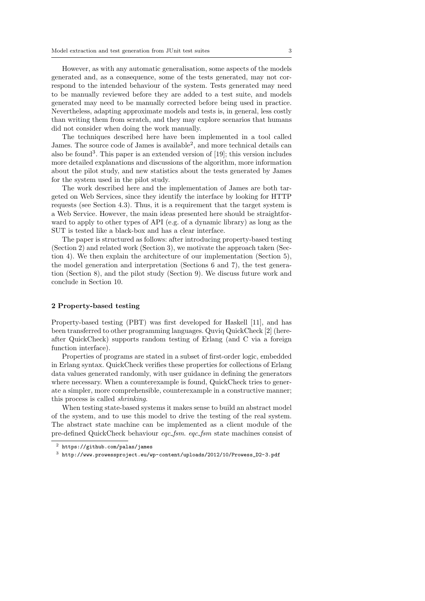However, as with any automatic generalisation, some aspects of the models generated and, as a consequence, some of the tests generated, may not correspond to the intended behaviour of the system. Tests generated may need to be manually reviewed before they are added to a test suite, and models generated may need to be manually corrected before being used in practice. Nevertheless, adapting approximate models and tests is, in general, less costly than writing them from scratch, and they may explore scenarios that humans did not consider when doing the work manually.

The techniques described here have been implemented in a tool called James. The source code of James is available<sup>2</sup>, and more technical details can also be found<sup>3</sup> . This paper is an extended version of [19]; this version includes more detailed explanations and discussions of the algorithm, more information about the pilot study, and new statistics about the tests generated by James for the system used in the pilot study.

The work described here and the implementation of James are both targeted on Web Services, since they identify the interface by looking for HTTP requests (see Section 4.3). Thus, it is a requirement that the target system is a Web Service. However, the main ideas presented here should be straightforward to apply to other types of API (e.g. of a dynamic library) as long as the SUT is tested like a black-box and has a clear interface.

The paper is structured as follows: after introducing property-based testing (Section 2) and related work (Section 3), we motivate the approach taken (Section 4). We then explain the architecture of our implementation (Section 5), the model generation and interpretation (Sections 6 and 7), the test generation (Section 8), and the pilot study (Section 9). We discuss future work and conclude in Section 10.

#### 2 Property-based testing

Property-based testing (PBT) was first developed for Haskell [11], and has been transferred to other programming languages. Quviq QuickCheck [2] (hereafter QuickCheck) supports random testing of Erlang (and C via a foreign function interface).

Properties of programs are stated in a subset of first-order logic, embedded in Erlang syntax. QuickCheck verifies these properties for collections of Erlang data values generated randomly, with user guidance in defining the generators where necessary. When a counterexample is found, QuickCheck tries to generate a simpler, more comprehensible, counterexample in a constructive manner; this process is called *shrinking*.

When testing state-based systems it makes sense to build an abstract model of the system, and to use this model to drive the testing of the real system. The abstract state machine can be implemented as a client module of the pre-defined QuickCheck behaviour *eqc fsm*. *eqc fsm* state machines consist of

 $<sup>2</sup>$  https://github.com/palas/james</sup>

<sup>3</sup> http://www.prowessproject.eu/wp-content/uploads/2012/10/Prowess\_D2-3.pdf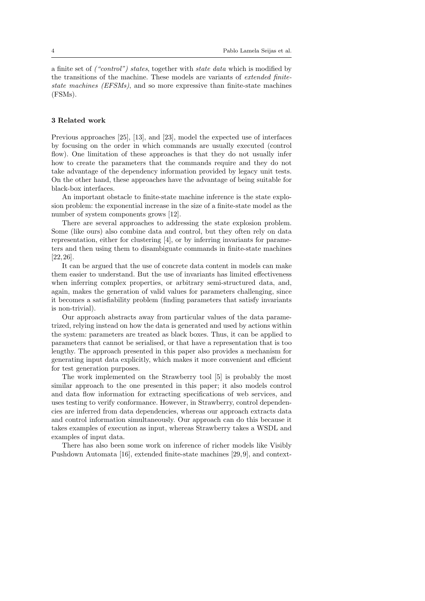a finite set of *("control") states*, together with *state data* which is modified by the transitions of the machine. These models are variants of *extended finitestate machines (EFSMs)*, and so more expressive than finite-state machines (FSMs).

#### 3 Related work

Previous approaches [25], [13], and [23], model the expected use of interfaces by focusing on the order in which commands are usually executed (control flow). One limitation of these approaches is that they do not usually infer how to create the parameters that the commands require and they do not take advantage of the dependency information provided by legacy unit tests. On the other hand, these approaches have the advantage of being suitable for black-box interfaces.

An important obstacle to finite-state machine inference is the state explosion problem: the exponential increase in the size of a finite-state model as the number of system components grows [12].

There are several approaches to addressing the state explosion problem. Some (like ours) also combine data and control, but they often rely on data representation, either for clustering [4], or by inferring invariants for parameters and then using them to disambiguate commands in finite-state machines [22, 26].

It can be argued that the use of concrete data content in models can make them easier to understand. But the use of invariants has limited effectiveness when inferring complex properties, or arbitrary semi-structured data, and, again, makes the generation of valid values for parameters challenging, since it becomes a satisfiability problem (finding parameters that satisfy invariants is non-trivial).

Our approach abstracts away from particular values of the data parametrized, relying instead on how the data is generated and used by actions within the system: parameters are treated as black boxes. Thus, it can be applied to parameters that cannot be serialised, or that have a representation that is too lengthy. The approach presented in this paper also provides a mechanism for generating input data explicitly, which makes it more convenient and efficient for test generation purposes.

The work implemented on the Strawberry tool [5] is probably the most similar approach to the one presented in this paper; it also models control and data flow information for extracting specifications of web services, and uses testing to verify conformance. However, in Strawberry, control dependencies are inferred from data dependencies, whereas our approach extracts data and control information simultaneously. Our approach can do this because it takes examples of execution as input, whereas Strawberry takes a WSDL and examples of input data.

There has also been some work on inference of richer models like Visibly Pushdown Automata [16], extended finite-state machines [29,9], and context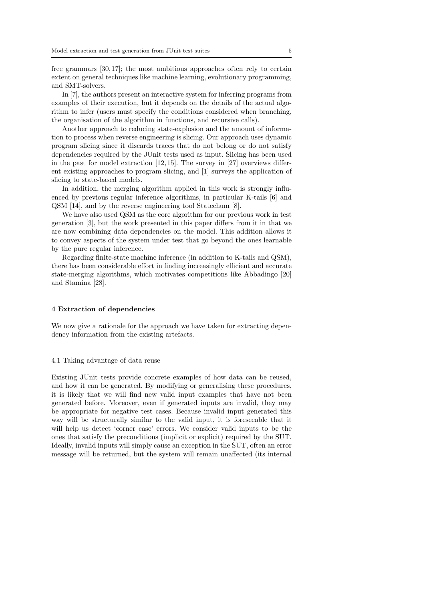free grammars [30, 17]; the most ambitious approaches often rely to certain extent on general techniques like machine learning, evolutionary programming, and SMT-solvers.

In [7], the authors present an interactive system for inferring programs from examples of their execution, but it depends on the details of the actual algorithm to infer (users must specify the conditions considered when branching, the organisation of the algorithm in functions, and recursive calls).

Another approach to reducing state-explosion and the amount of information to process when reverse engineering is slicing. Our approach uses dynamic program slicing since it discards traces that do not belong or do not satisfy dependencies required by the JUnit tests used as input. Slicing has been used in the past for model extraction [12, 15]. The survey in [27] overviews different existing approaches to program slicing, and [1] surveys the application of slicing to state-based models.

In addition, the merging algorithm applied in this work is strongly influenced by previous regular inference algorithms, in particular K-tails [6] and QSM [14], and by the reverse engineering tool Statechum [8].

We have also used QSM as the core algorithm for our previous work in test generation [3], but the work presented in this paper differs from it in that we are now combining data dependencies on the model. This addition allows it to convey aspects of the system under test that go beyond the ones learnable by the pure regular inference.

Regarding finite-state machine inference (in addition to K-tails and QSM), there has been considerable effort in finding increasingly efficient and accurate state-merging algorithms, which motivates competitions like Abbadingo [20] and Stamina [28].

#### 4 Extraction of dependencies

We now give a rationale for the approach we have taken for extracting dependency information from the existing artefacts.

#### 4.1 Taking advantage of data reuse

Existing JUnit tests provide concrete examples of how data can be reused, and how it can be generated. By modifying or generalising these procedures, it is likely that we will find new valid input examples that have not been generated before. Moreover, even if generated inputs are invalid, they may be appropriate for negative test cases. Because invalid input generated this way will be structurally similar to the valid input, it is foreseeable that it will help us detect 'corner case' errors. We consider valid inputs to be the ones that satisfy the preconditions (implicit or explicit) required by the SUT. Ideally, invalid inputs will simply cause an exception in the SUT, often an error message will be returned, but the system will remain unaffected (its internal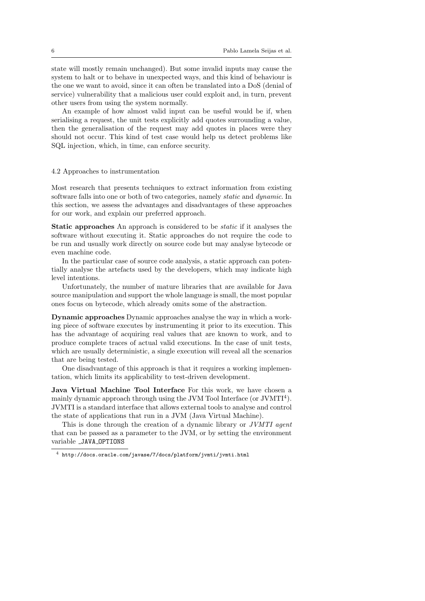state will mostly remain unchanged). But some invalid inputs may cause the system to halt or to behave in unexpected ways, and this kind of behaviour is the one we want to avoid, since it can often be translated into a DoS (denial of service) vulnerability that a malicious user could exploit and, in turn, prevent other users from using the system normally.

An example of how almost valid input can be useful would be if, when serialising a request, the unit tests explicitly add quotes surrounding a value, then the generalisation of the request may add quotes in places were they should not occur. This kind of test case would help us detect problems like SQL injection, which, in time, can enforce security.

#### 4.2 Approaches to instrumentation

Most research that presents techniques to extract information from existing software falls into one or both of two categories, namely *static* and *dynamic*. In this section, we assess the advantages and disadvantages of these approaches for our work, and explain our preferred approach.

Static approaches An approach is considered to be *static* if it analyses the software without executing it. Static approaches do not require the code to be run and usually work directly on source code but may analyse bytecode or even machine code.

In the particular case of source code analysis, a static approach can potentially analyse the artefacts used by the developers, which may indicate high level intentions.

Unfortunately, the number of mature libraries that are available for Java source manipulation and support the whole language is small, the most popular ones focus on bytecode, which already omits some of the abstraction.

Dynamic approaches Dynamic approaches analyse the way in which a working piece of software executes by instrumenting it prior to its execution. This has the advantage of acquiring real values that are known to work, and to produce complete traces of actual valid executions. In the case of unit tests, which are usually deterministic, a single execution will reveal all the scenarios that are being tested.

One disadvantage of this approach is that it requires a working implementation, which limits its applicability to test-driven development.

Java Virtual Machine Tool Interface For this work, we have chosen a mainly dynamic approach through using the JVM Tool Interface (or JVMTI<sup>4</sup>). JVMTI is a standard interface that allows external tools to analyse and control the state of applications that run in a JVM (Java Virtual Machine).

This is done through the creation of a dynamic library or *JVMTI agent* that can be passed as a parameter to the JVM, or by setting the environment variable JAVA OPTIONS

 $^4$ http://docs.oracle.com/javase/7/docs/platform/jvmti/jvmti.html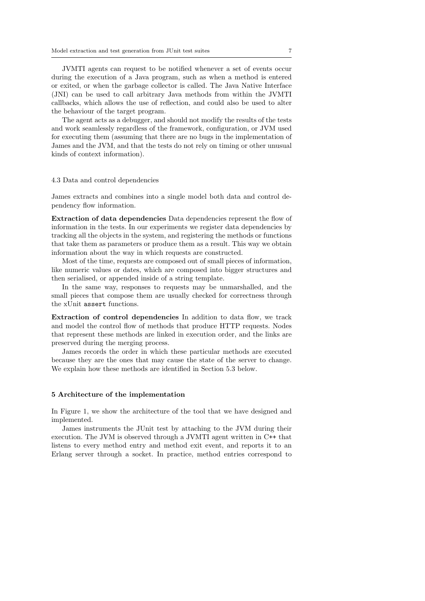JVMTI agents can request to be notified whenever a set of events occur during the execution of a Java program, such as when a method is entered or exited, or when the garbage collector is called. The Java Native Interface (JNI) can be used to call arbitrary Java methods from within the JVMTI callbacks, which allows the use of reflection, and could also be used to alter the behaviour of the target program.

The agent acts as a debugger, and should not modify the results of the tests and work seamlessly regardless of the framework, configuration, or JVM used for executing them (assuming that there are no bugs in the implementation of James and the JVM, and that the tests do not rely on timing or other unusual kinds of context information).

4.3 Data and control dependencies

James extracts and combines into a single model both data and control dependency flow information.

Extraction of data dependencies Data dependencies represent the flow of information in the tests. In our experiments we register data dependencies by tracking all the objects in the system, and registering the methods or functions that take them as parameters or produce them as a result. This way we obtain information about the way in which requests are constructed.

Most of the time, requests are composed out of small pieces of information, like numeric values or dates, which are composed into bigger structures and then serialised, or appended inside of a string template.

In the same way, responses to requests may be unmarshalled, and the small pieces that compose them are usually checked for correctness through the xUnit assert functions.

Extraction of control dependencies In addition to data flow, we track and model the control flow of methods that produce HTTP requests. Nodes that represent these methods are linked in execution order, and the links are preserved during the merging process.

James records the order in which these particular methods are executed because they are the ones that may cause the state of the server to change. We explain how these methods are identified in Section 5.3 below.

#### 5 Architecture of the implementation

In Figure 1, we show the architecture of the tool that we have designed and implemented.

James instruments the JUnit test by attaching to the JVM during their execution. The JVM is observed through a JVMTI agent written in C++ that listens to every method entry and method exit event, and reports it to an Erlang server through a socket. In practice, method entries correspond to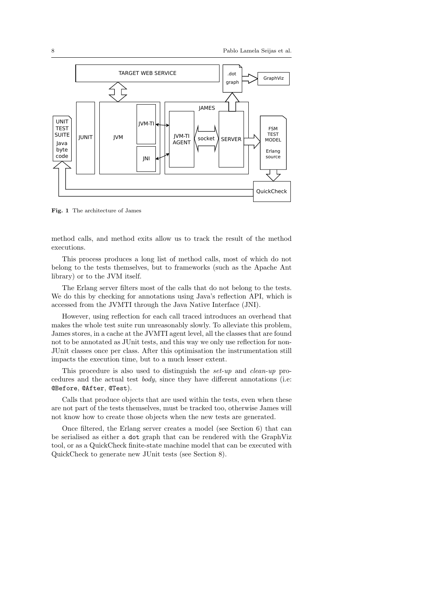

Fig. 1 The architecture of James

method calls, and method exits allow us to track the result of the method executions.

This process produces a long list of method calls, most of which do not belong to the tests themselves, but to frameworks (such as the Apache Ant library) or to the JVM itself.

The Erlang server filters most of the calls that do not belong to the tests. We do this by checking for annotations using Java's reflection API, which is accessed from the JVMTI through the Java Native Interface (JNI).

However, using reflection for each call traced introduces an overhead that makes the whole test suite run unreasonably slowly. To alleviate this problem, James stores, in a cache at the JVMTI agent level, all the classes that are found not to be annotated as JUnit tests, and this way we only use reflection for non-JUnit classes once per class. After this optimisation the instrumentation still impacts the execution time, but to a much lesser extent.

This procedure is also used to distinguish the *set-up* and *clean-up* procedures and the actual test *body*, since they have different annotations (i.e: @Before, @After, @Test).

Calls that produce objects that are used within the tests, even when these are not part of the tests themselves, must be tracked too, otherwise James will not know how to create those objects when the new tests are generated.

Once filtered, the Erlang server creates a model (see Section 6) that can be serialised as either a dot graph that can be rendered with the GraphViz tool, or as a QuickCheck finite-state machine model that can be executed with QuickCheck to generate new JUnit tests (see Section 8).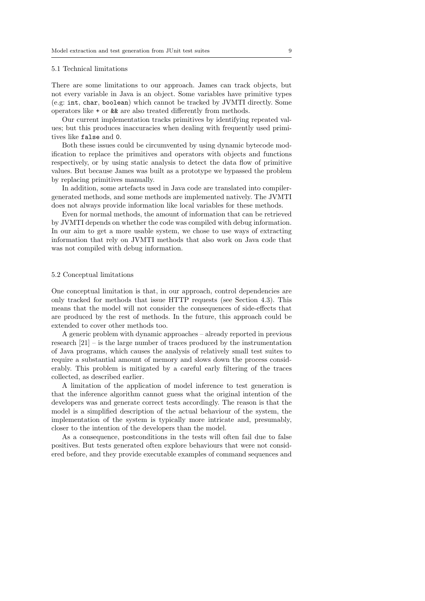#### 5.1 Technical limitations

There are some limitations to our approach. James can track objects, but not every variable in Java is an object. Some variables have primitive types (e.g: int, char, boolean) which cannot be tracked by JVMTI directly. Some operators like + or && are also treated differently from methods.

Our current implementation tracks primitives by identifying repeated values; but this produces inaccuracies when dealing with frequently used primitives like false and 0.

Both these issues could be circumvented by using dynamic bytecode modification to replace the primitives and operators with objects and functions respectively, or by using static analysis to detect the data flow of primitive values. But because James was built as a prototype we bypassed the problem by replacing primitives manually.

In addition, some artefacts used in Java code are translated into compilergenerated methods, and some methods are implemented natively. The JVMTI does not always provide information like local variables for these methods.

Even for normal methods, the amount of information that can be retrieved by JVMTI depends on whether the code was compiled with debug information. In our aim to get a more usable system, we chose to use ways of extracting information that rely on JVMTI methods that also work on Java code that was not compiled with debug information.

#### 5.2 Conceptual limitations

One conceptual limitation is that, in our approach, control dependencies are only tracked for methods that issue HTTP requests (see Section 4.3). This means that the model will not consider the consequences of side-effects that are produced by the rest of methods. In the future, this approach could be extended to cover other methods too.

A generic problem with dynamic approaches – already reported in previous research [21] – is the large number of traces produced by the instrumentation of Java programs, which causes the analysis of relatively small test suites to require a substantial amount of memory and slows down the process considerably. This problem is mitigated by a careful early filtering of the traces collected, as described earlier.

A limitation of the application of model inference to test generation is that the inference algorithm cannot guess what the original intention of the developers was and generate correct tests accordingly. The reason is that the model is a simplified description of the actual behaviour of the system, the implementation of the system is typically more intricate and, presumably, closer to the intention of the developers than the model.

As a consequence, postconditions in the tests will often fail due to false positives. But tests generated often explore behaviours that were not considered before, and they provide executable examples of command sequences and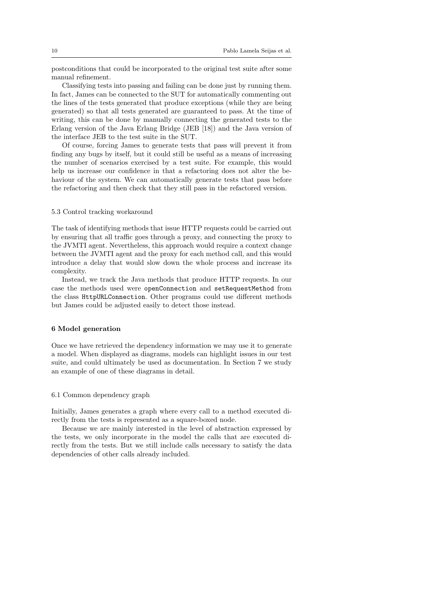postconditions that could be incorporated to the original test suite after some manual refinement.

Classifying tests into passing and failing can be done just by running them. In fact, James can be connected to the SUT for automatically commenting out the lines of the tests generated that produce exceptions (while they are being generated) so that all tests generated are guaranteed to pass. At the time of writing, this can be done by manually connecting the generated tests to the Erlang version of the Java Erlang Bridge (JEB [18]) and the Java version of the interface JEB to the test suite in the SUT.

Of course, forcing James to generate tests that pass will prevent it from finding any bugs by itself, but it could still be useful as a means of increasing the number of scenarios exercised by a test suite. For example, this would help us increase our confidence in that a refactoring does not alter the behaviour of the system. We can automatically generate tests that pass before the refactoring and then check that they still pass in the refactored version.

#### 5.3 Control tracking workaround

The task of identifying methods that issue HTTP requests could be carried out by ensuring that all traffic goes through a proxy, and connecting the proxy to the JVMTI agent. Nevertheless, this approach would require a context change between the JVMTI agent and the proxy for each method call, and this would introduce a delay that would slow down the whole process and increase its complexity.

Instead, we track the Java methods that produce HTTP requests. In our case the methods used were openConnection and setRequestMethod from the class HttpURLConnection. Other programs could use different methods but James could be adjusted easily to detect those instead.

#### 6 Model generation

Once we have retrieved the dependency information we may use it to generate a model. When displayed as diagrams, models can highlight issues in our test suite, and could ultimately be used as documentation. In Section 7 we study an example of one of these diagrams in detail.

#### 6.1 Common dependency graph

Initially, James generates a graph where every call to a method executed directly from the tests is represented as a square-boxed node.

Because we are mainly interested in the level of abstraction expressed by the tests, we only incorporate in the model the calls that are executed directly from the tests. But we still include calls necessary to satisfy the data dependencies of other calls already included.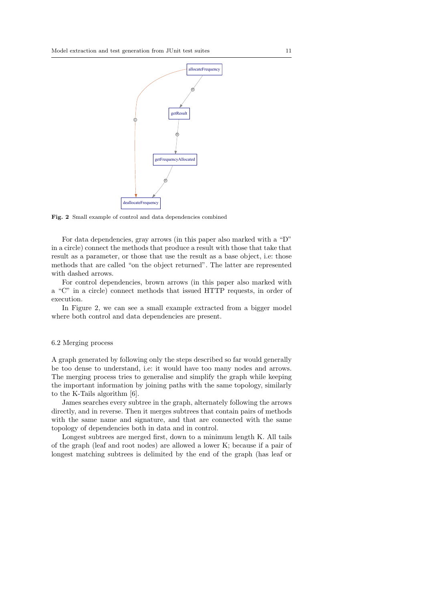

Fig. 2 Small example of control and data dependencies combined

For data dependencies, gray arrows (in this paper also marked with a "D" in a circle) connect the methods that produce a result with those that take that result as a parameter, or those that use the result as a base object, i.e: those methods that are called "on the object returned". The latter are represented with dashed arrows.

For control dependencies, brown arrows (in this paper also marked with a "C" in a circle) connect methods that issued HTTP requests, in order of execution.

In Figure 2, we can see a small example extracted from a bigger model where both control and data dependencies are present.

#### 6.2 Merging process

A graph generated by following only the steps described so far would generally be too dense to understand, i.e: it would have too many nodes and arrows. The merging process tries to generalise and simplify the graph while keeping the important information by joining paths with the same topology, similarly to the K-Tails algorithm [6].

James searches every subtree in the graph, alternately following the arrows directly, and in reverse. Then it merges subtrees that contain pairs of methods with the same name and signature, and that are connected with the same topology of dependencies both in data and in control.

Longest subtrees are merged first, down to a minimum length K. All tails of the graph (leaf and root nodes) are allowed a lower K; because if a pair of longest matching subtrees is delimited by the end of the graph (has leaf or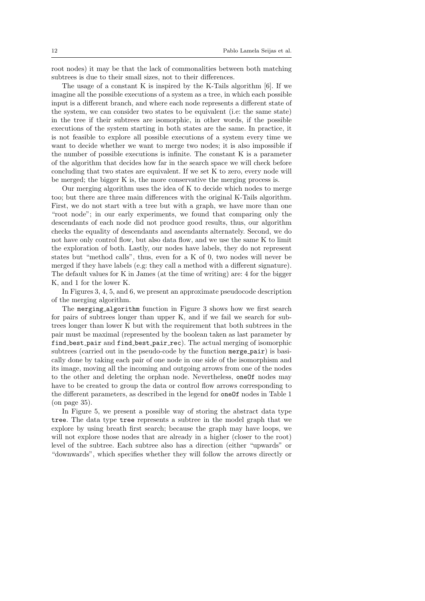root nodes) it may be that the lack of commonalities between both matching subtrees is due to their small sizes, not to their differences.

The usage of a constant K is inspired by the K-Tails algorithm [6]. If we imagine all the possible executions of a system as a tree, in which each possible input is a different branch, and where each node represents a different state of the system, we can consider two states to be equivalent (i.e: the same state) in the tree if their subtrees are isomorphic, in other words, if the possible executions of the system starting in both states are the same. In practice, it is not feasible to explore all possible executions of a system every time we want to decide whether we want to merge two nodes; it is also impossible if the number of possible executions is infinite. The constant K is a parameter of the algorithm that decides how far in the search space we will check before concluding that two states are equivalent. If we set K to zero, every node will be merged; the bigger K is, the more conservative the merging process is.

Our merging algorithm uses the idea of K to decide which nodes to merge too; but there are three main differences with the original K-Tails algorithm. First, we do not start with a tree but with a graph, we have more than one "root node"; in our early experiments, we found that comparing only the descendants of each node did not produce good results, thus, our algorithm checks the equality of descendants and ascendants alternately. Second, we do not have only control flow, but also data flow, and we use the same K to limit the exploration of both. Lastly, our nodes have labels, they do not represent states but "method calls", thus, even for a K of 0, two nodes will never be merged if they have labels (e.g: they call a method with a different signature). The default values for K in James (at the time of writing) are: 4 for the bigger K, and 1 for the lower K.

In Figures 3, 4, 5, and 6, we present an approximate pseudocode description of the merging algorithm.

The merging algorithm function in Figure 3 shows how we first search for pairs of subtrees longer than upper K, and if we fail we search for subtrees longer than lower K but with the requirement that both subtrees in the pair must be maximal (represented by the boolean taken as last parameter by find best pair and find best pair rec). The actual merging of isomorphic subtrees (carried out in the pseudo-code by the function merge pair) is basically done by taking each pair of one node in one side of the isomorphism and its image, moving all the incoming and outgoing arrows from one of the nodes to the other and deleting the orphan node. Nevertheless, oneOf nodes may have to be created to group the data or control flow arrows corresponding to the different parameters, as described in the legend for oneOf nodes in Table 1 (on page 35).

In Figure 5, we present a possible way of storing the abstract data type tree. The data type tree represents a subtree in the model graph that we explore by using breath first search; because the graph may have loops, we will not explore those nodes that are already in a higher (closer to the root) level of the subtree. Each subtree also has a direction (either "upwards" or "downwards", which specifies whether they will follow the arrows directly or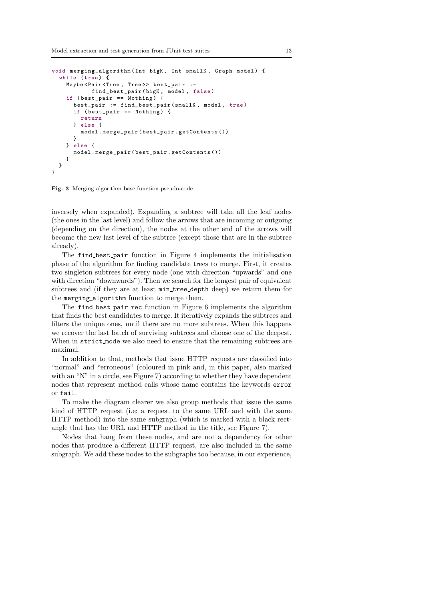```
void merging_algorithm ( Int bigK , Int smallK , Graph model ) {
  while (true) {
    Maybe < Pair < Tree , Tree > > best pair : =
            find_best_pair ( bigK , model , false )
    if (best\_pair == Notbing) {
       best_pair := find_best_pair ( smallK , model , true )
       if ( best_pair == Nothing ) {
         return
      } else {
         model . merge_pair ( best_pair . getContents ())
      }
    } else {
      model . merge_pair ( best_pair . getContents ())
    }
  }
}
```
Fig. 3 Merging algorithm base function pseudo-code

inversely when expanded). Expanding a subtree will take all the leaf nodes (the ones in the last level) and follow the arrows that are incoming or outgoing (depending on the direction), the nodes at the other end of the arrows will become the new last level of the subtree (except those that are in the subtree already).

The find best pair function in Figure 4 implements the initialisation phase of the algorithm for finding candidate trees to merge. First, it creates two singleton subtrees for every node (one with direction "upwards" and one with direction "downwards"). Then we search for the longest pair of equivalent subtrees and (if they are at least min tree depth deep) we return them for the merging algorithm function to merge them.

The find best pair rec function in Figure 6 implements the algorithm that finds the best candidates to merge. It iteratively expands the subtrees and filters the unique ones, until there are no more subtrees. When this happens we recover the last batch of surviving subtrees and choose one of the deepest. When in strict mode we also need to ensure that the remaining subtrees are maximal.

In addition to that, methods that issue HTTP requests are classified into "normal" and "erroneous" (coloured in pink and, in this paper, also marked with an "N" in a circle, see Figure 7) according to whether they have dependent nodes that represent method calls whose name contains the keywords error or fail.

To make the diagram clearer we also group methods that issue the same kind of HTTP request (i.e: a request to the same URL and with the same HTTP method) into the same subgraph (which is marked with a black rectangle that has the URL and HTTP method in the title, see Figure 7).

Nodes that hang from these nodes, and are not a dependency for other nodes that produce a different HTTP request, are also included in the same subgraph. We add these nodes to the subgraphs too because, in our experience,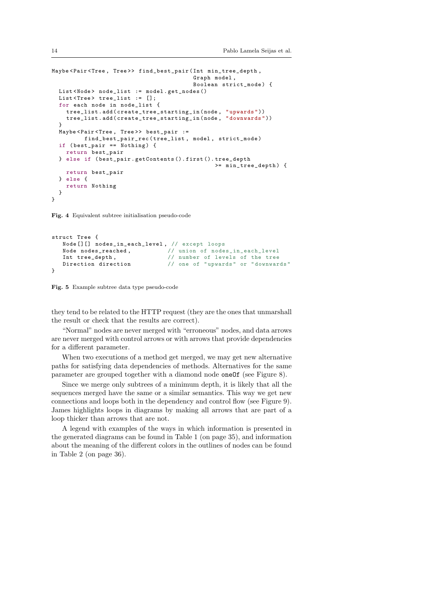```
Maybe <Pair<Tree, Tree>> find_best_pair(Int min_tree_depth,
                                           Graph model ,
                                           Boolean strict mode) {
  List <Node> node_list := model.get_nodes()
  List < Tree > tree_list := [];
  for each node in node_list {
    tree_list . add ( create_tree_starting_in ( node , " upwards "))
    tree_list . add ( create_tree_starting_in ( node , " downwards "))
  }
  Maybe < Pair < Tree, Tree > > best_pair :=
         find_best_pair_rec ( tree_list , model , strict_mode )
  if (best\_pair == Notbing) {
    return best_pair
  } else if ( best_pair . getContents (). first (). tree_depth
                                                 >= min_tree_depth ) {
    return best_pair
  } else {
    return Nothing
  }
}
```
Fig. 4 Equivalent subtree initialisation pseudo-code

```
struct Tree {
    Node [][] nodes_in_each_level , // except loops
    Node nodes_reached, \frac{1}{2} // union of nodes_in_each_level
    Int tree_depth, \frac{1}{2} // number of levels of the tree<br>Direction direction \frac{1}{2} // one of "upwards" or "downwar
                                           // one of "upwards" or "downwards"
}
```
Fig. 5 Example subtree data type pseudo-code

they tend to be related to the HTTP request (they are the ones that unmarshall the result or check that the results are correct).

"Normal" nodes are never merged with "erroneous" nodes, and data arrows are never merged with control arrows or with arrows that provide dependencies for a different parameter.

When two executions of a method get merged, we may get new alternative paths for satisfying data dependencies of methods. Alternatives for the same parameter are grouped together with a diamond node one Of (see Figure 8).

Since we merge only subtrees of a minimum depth, it is likely that all the sequences merged have the same or a similar semantics. This way we get new connections and loops both in the dependency and control flow (see Figure 9). James highlights loops in diagrams by making all arrows that are part of a loop thicker than arrows that are not.

A legend with examples of the ways in which information is presented in the generated diagrams can be found in Table 1 (on page 35), and information about the meaning of the different colors in the outlines of nodes can be found in Table 2 (on page 36).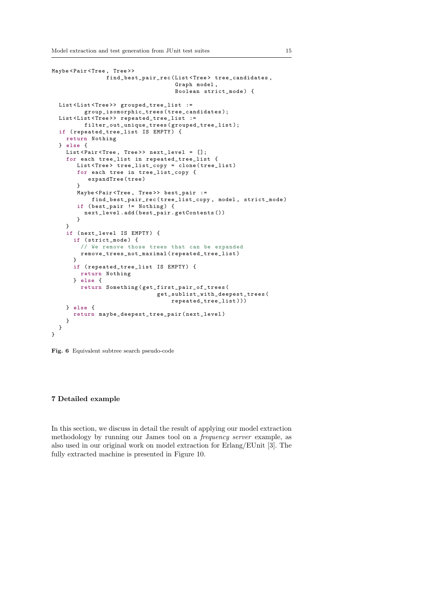```
Maybe < Pair < Tree, Tree >>
                find_best_pair_rec ( List < Tree > tree_candidates ,
                                     Graph model ,
                                     Boolean strict_mode ) {
  List<List<Tree>> grouped_tree_list :=
          group_isomorphic_trees ( tree_candidates );
  List<List<Tree>> repeated_tree_list :=
         filter_out_unique_trees ( grouped_tree_list );
  if ( repeated_tree_list IS EMPTY ) {
    return Nothing
  } else {
    List < Pair < Tree , Tree > > next_level = [];
    for each tree_list in repeated_tree_list {
       List < Tree > tree_list_copy = clone ( tree_list )
       for each tree in tree_list_copy {
           expandTree ( tree )
       }
       Maybe < Pair < Tree , Tree >> best pair : =
           find_best_pair_rec ( tree_list_copy , model , strict_mode )
       if (best\_pair != Nothing) {
         next_level . add ( best_pair . getContents ())
       \mathbf{I}}
    if ( next_level IS EMPTY ) {
      if ( strict_mode ) {
        // We remove those trees that can be expanded
        remove_trees_not_maximal ( repeated_tree_list )
      }
      if ( repeated_tree_list IS EMPTY ) {
        return Nothing
      } else {
        return Something ( get_first_pair_of_trees (
                               get_sublist_with_deepest_trees (
                                    repeated_tree_list )))
    } else {
      return maybe_deepest_tree_pair ( next_level )
    }
 }
}
```
Fig. 6 Equivalent subtree search pseudo-code

#### 7 Detailed example

In this section, we discuss in detail the result of applying our model extraction methodology by running our James tool on a *frequency server* example, as also used in our original work on model extraction for Erlang/EUnit [3]. The fully extracted machine is presented in Figure 10.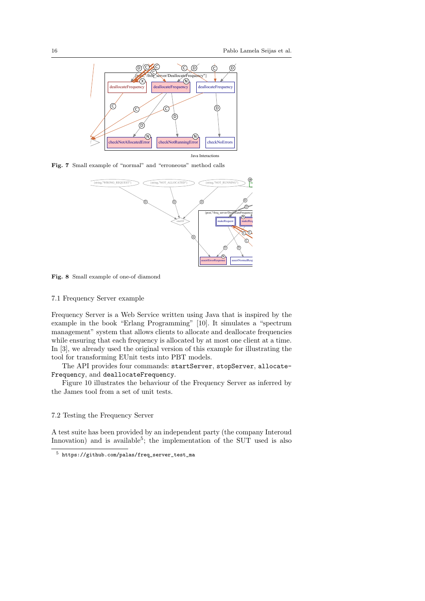





Fig. 8 Small example of one-of diamond

#### 7.1 Frequency Server example

Frequency Server is a Web Service written using Java that is inspired by the example in the book "Erlang Programming" [10]. It simulates a "spectrum management" system that allows clients to allocate and deallocate frequencies while ensuring that each frequency is allocated by at most one client at a time. In [3], we already used the original version of this example for illustrating the tool for transforming EUnit tests into PBT models.

The API provides four commands: startServer, stopServer, allocate-Frequency, and deallocateFrequency.

Figure 10 illustrates the behaviour of the Frequency Server as inferred by the James tool from a set of unit tests.

#### 7.2 Testing the Frequency Server

A test suite has been provided by an independent party (the company Interoud Innovation) and is available<sup>5</sup>; the implementation of the SUT used is also

 $^5$ https://github.com/palas/freq\_server\_test\_ma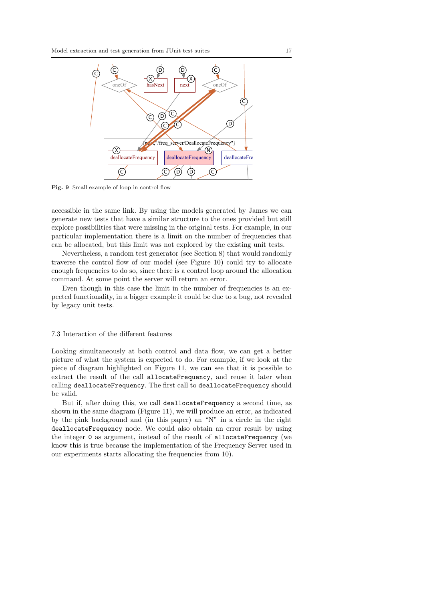

Fig. 9 Small example of loop in control flow

accessible in the same link. By using the models generated by James we can generate new tests that have a similar structure to the ones provided but still explore possibilities that were missing in the original tests. For example, in our particular implementation there is a limit on the number of frequencies that can be allocated, but this limit was not explored by the existing unit tests.

Nevertheless, a random test generator (see Section 8) that would randomly traverse the control flow of our model (see Figure 10) could try to allocate enough frequencies to do so, since there is a control loop around the allocation command. At some point the server will return an error.

Even though in this case the limit in the number of frequencies is an expected functionality, in a bigger example it could be due to a bug, not revealed by legacy unit tests.

#### 7.3 Interaction of the different features

Looking simultaneously at both control and data flow, we can get a better picture of what the system is expected to do. For example, if we look at the piece of diagram highlighted on Figure 11, we can see that it is possible to extract the result of the call allocateFrequency, and reuse it later when calling deallocateFrequency. The first call to deallocateFrequency should be valid.

But if, after doing this, we call deallocateFrequency a second time, as shown in the same diagram (Figure 11), we will produce an error, as indicated by the pink background and (in this paper) an "N" in a circle in the right deallocateFrequency node. We could also obtain an error result by using the integer 0 as argument, instead of the result of allocateFrequency (we know this is true because the implementation of the Frequency Server used in our experiments starts allocating the frequencies from 10).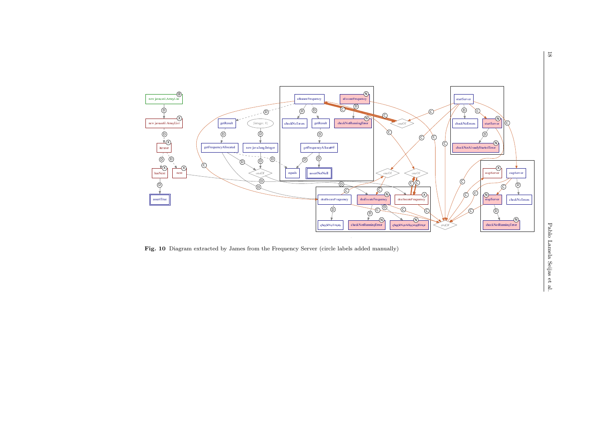

Fig. 10 Diagram extracted by James from the Frequency Server (circle labels added manually)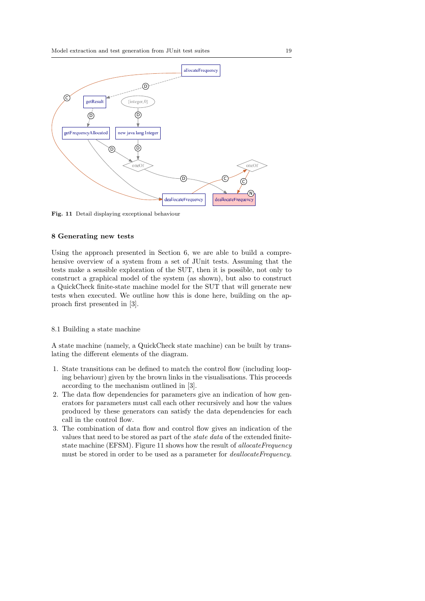

Fig. 11 Detail displaying exceptional behaviour

#### 8 Generating new tests

Using the approach presented in Section 6, we are able to build a comprehensive overview of a system from a set of JUnit tests. Assuming that the tests make a sensible exploration of the SUT, then it is possible, not only to construct a graphical model of the system (as shown), but also to construct a QuickCheck finite-state machine model for the SUT that will generate new tests when executed. We outline how this is done here, building on the approach first presented in [3].

#### 8.1 Building a state machine

A state machine (namely, a QuickCheck state machine) can be built by translating the different elements of the diagram.

- 1. State transitions can be defined to match the control flow (including looping behaviour) given by the brown links in the visualisations. This proceeds according to the mechanism outlined in [3].
- 2. The data flow dependencies for parameters give an indication of how generators for parameters must call each other recursively and how the values produced by these generators can satisfy the data dependencies for each call in the control flow.
- 3. The combination of data flow and control flow gives an indication of the values that need to be stored as part of the *state data* of the extended finitestate machine (EFSM). Figure 11 shows how the result of *allocateFrequency* must be stored in order to be used as a parameter for *deallocateFrequency*.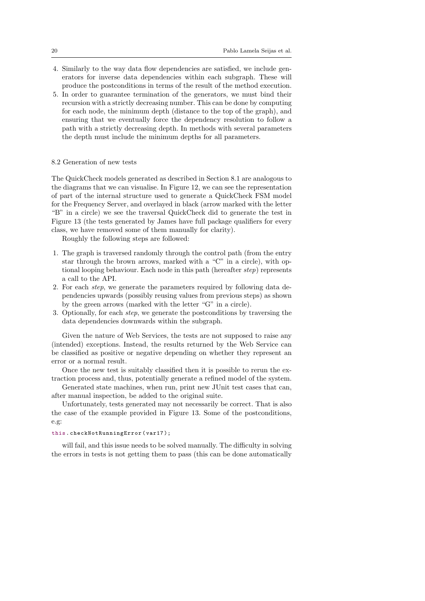- 4. Similarly to the way data flow dependencies are satisfied, we include generators for inverse data dependencies within each subgraph. These will produce the postconditions in terms of the result of the method execution.
- 5. In order to guarantee termination of the generators, we must bind their recursion with a strictly decreasing number. This can be done by computing for each node, the minimum depth (distance to the top of the graph), and ensuring that we eventually force the dependency resolution to follow a path with a strictly decreasing depth. In methods with several parameters the depth must include the minimum depths for all parameters.

#### 8.2 Generation of new tests

The QuickCheck models generated as described in Section 8.1 are analogous to the diagrams that we can visualise. In Figure 12, we can see the representation of part of the internal structure used to generate a QuickCheck FSM model for the Frequency Server, and overlayed in black (arrow marked with the letter "B" in a circle) we see the traversal QuickCheck did to generate the test in Figure 13 (the tests generated by James have full package qualifiers for every class, we have removed some of them manually for clarity).

Roughly the following steps are followed:

- 1. The graph is traversed randomly through the control path (from the entry star through the brown arrows, marked with a "C" in a circle), with optional looping behaviour. Each node in this path (hereafter *step*) represents a call to the API.
- 2. For each *step*, we generate the parameters required by following data dependencies upwards (possibly reusing values from previous steps) as shown by the green arrows (marked with the letter "G" in a circle).
- 3. Optionally, for each *step*, we generate the postconditions by traversing the data dependencies downwards within the subgraph.

Given the nature of Web Services, the tests are not supposed to raise any (intended) exceptions. Instead, the results returned by the Web Service can be classified as positive or negative depending on whether they represent an error or a normal result.

Once the new test is suitably classified then it is possible to rerun the extraction process and, thus, potentially generate a refined model of the system.

Generated state machines, when run, print new JUnit test cases that can, after manual inspection, be added to the original suite.

Unfortunately, tests generated may not necessarily be correct. That is also the case of the example provided in Figure 13. Some of the postconditions, e.g:

#### this . checkNotRunningError ( var17 );

will fail, and this issue needs to be solved manually. The difficulty in solving the errors in tests is not getting them to pass (this can be done automatically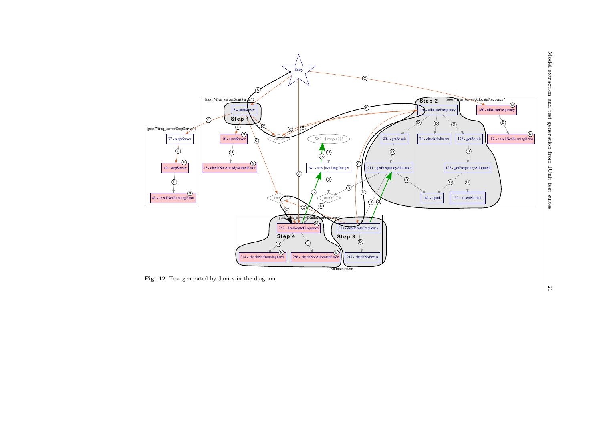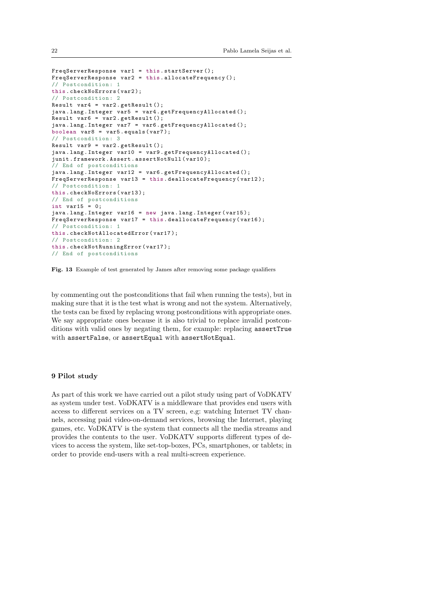```
FreqServerResponse var1 = this . startServer ();
FreqServerResponse var2 = this . allocateFrequency ();
// Postcondition : 1
this . checkNoErrors ( var2 );
// Postcondition : 2
Result var4 = var2.getResult();
java . lang . Integer var5 = var4 . getFrequencyAllocated ();
Result var6 = var2 . getResult ();
java . lang . Integer var7 = var6 . getFrequencyAllocated ();
boolean var8 = var5. equals(var7);// Postcondition : 3
Result var9 = var2 . getResult ();
java . lang . Integer var10 = var9 . getFrequencyAllocated ();
junit . framework . Assert . assertNotNull (var10);
// End of postconditions
java . lang . Integer var12 = var6 . getFrequencyAllocated ();
FreqServerResponse var13 = this deallocateFrequency (var12);
// Postcondition : 1
this . checkNoErrors ( var13 );
// End of postconditions
int var15 = 0;
java.lang. Integer var16 = new java.lang. Integer (var15);
FreqServerResponse var17 = this . deallocateFrequency ( var16 );
// Postcondition : 1
this . checkNotAllocatedError ( var17 );
// Postcondition : 2
this . checkNotRunningError ( var17 );
// End of postconditions
```
Fig. 13 Example of test generated by James after removing some package qualifiers

by commenting out the postconditions that fail when running the tests), but in making sure that it is the test what is wrong and not the system. Alternatively, the tests can be fixed by replacing wrong postconditions with appropriate ones. We say appropriate ones because it is also trivial to replace invalid postconditions with valid ones by negating them, for example: replacing assertTrue with assertFalse, or assertEqual with assertNotEqual.

#### 9 Pilot study

As part of this work we have carried out a pilot study using part of VoDKATV as system under test. VoDKATV is a middleware that provides end users with access to different services on a TV screen, e.g: watching Internet TV channels, accessing paid video-on-demand services, browsing the Internet, playing games, etc. VoDKATV is the system that connects all the media streams and provides the contents to the user. VoDKATV supports different types of devices to access the system, like set-top-boxes, PCs, smartphones, or tablets; in order to provide end-users with a real multi-screen experience.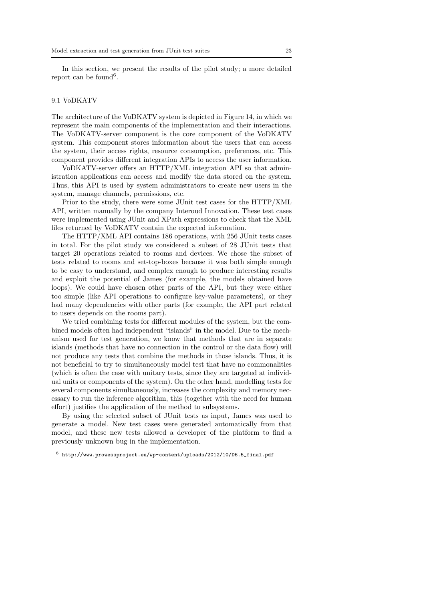In this section, we present the results of the pilot study; a more detailed report can be found<sup>6</sup>.

#### 9.1 VoDKATV

The architecture of the VoDKATV system is depicted in Figure 14, in which we represent the main components of the implementation and their interactions. The VoDKATV-server component is the core component of the VoDKATV system. This component stores information about the users that can access the system, their access rights, resource consumption, preferences, etc. This component provides different integration APIs to access the user information.

VoDKATV-server offers an HTTP/XML integration API so that administration applications can access and modify the data stored on the system. Thus, this API is used by system administrators to create new users in the system, manage channels, permissions, etc.

Prior to the study, there were some JUnit test cases for the HTTP/XML API, written manually by the company Interoud Innovation. These test cases were implemented using JUnit and XPath expressions to check that the XML files returned by VoDKATV contain the expected information.

The HTTP/XML API contains 186 operations, with 256 JUnit tests cases in total. For the pilot study we considered a subset of 28 JUnit tests that target 20 operations related to rooms and devices. We chose the subset of tests related to rooms and set-top-boxes because it was both simple enough to be easy to understand, and complex enough to produce interesting results and exploit the potential of James (for example, the models obtained have loops). We could have chosen other parts of the API, but they were either too simple (like API operations to configure key-value parameters), or they had many dependencies with other parts (for example, the API part related to users depends on the rooms part).

We tried combining tests for different modules of the system, but the combined models often had independent "islands" in the model. Due to the mechanism used for test generation, we know that methods that are in separate islands (methods that have no connection in the control or the data flow) will not produce any tests that combine the methods in those islands. Thus, it is not beneficial to try to simultaneously model test that have no commonalities (which is often the case with unitary tests, since they are targeted at individual units or components of the system). On the other hand, modelling tests for several components simultaneously, increases the complexity and memory necessary to run the inference algorithm, this (together with the need for human effort) justifies the application of the method to subsystems.

By using the selected subset of JUnit tests as input, James was used to generate a model. New test cases were generated automatically from that model, and these new tests allowed a developer of the platform to find a previously unknown bug in the implementation.

 $6$  http://www.prowessproject.eu/wp-content/uploads/2012/10/D6.5\_final.pdf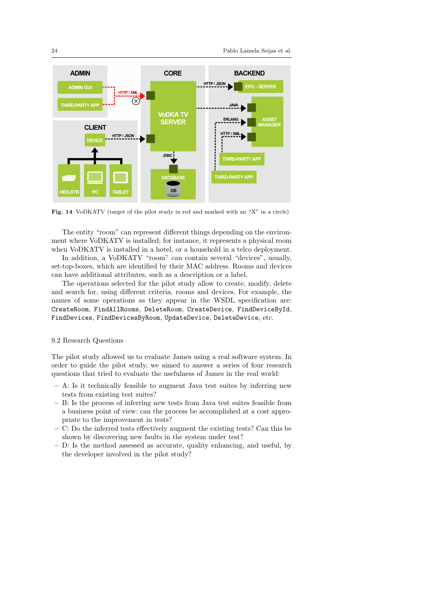

Fig. 14 VoDKATV (target of the pilot study in red and marked with an "X" in a circle)

The entity "room" can represent different things depending on the environment where VoDKATV is installed; for instance, it represents a physical room when VoDKATV is installed in a hotel, or a household in a telco deployment.

In addition, a VoDKATV "room" can contain several "devices", usually, set-top-boxes, which are identified by their MAC address. Rooms and devices can have additional attributes, such as a description or a label.

The operations selected for the pilot study allow to create, modify, delete and search for, using different criteria, rooms and devices. For example, the names of some operations as they appear in the WSDL specification are: CreateRoom, FindAllRooms, DeleteRoom, CreateDevice, FindDeviceById, FindDevices, FindDevicesByRoom, UpdateDevice, DeleteDevice, etc.

#### 9.2 Research Questions

The pilot study allowed us to evaluate James using a real software system. In order to guide the pilot study, we aimed to answer a series of four research questions that tried to evaluate the usefulness of James in the real world:

- A: Is it technically feasible to augment Java test suites by inferring new tests from existing test suites?
- B: Is the process of inferring new tests from Java test suites feasible from a business point of view: can the process be accomplished at a cost appropriate to the improvement in tests?
- C: Do the inferred tests effectively augment the existing tests? Can this be shown by discovering new faults in the system under test?
- D: Is the method assessed as accurate, quality enhancing, and useful, by the developer involved in the pilot study?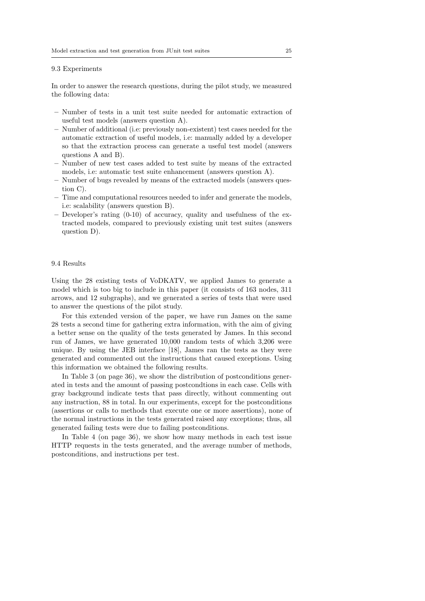#### 9.3 Experiments

In order to answer the research questions, during the pilot study, we measured the following data:

- Number of tests in a unit test suite needed for automatic extraction of useful test models (answers question A).
- Number of additional (i.e: previously non-existent) test cases needed for the automatic extraction of useful models, i.e: manually added by a developer so that the extraction process can generate a useful test model (answers questions A and B).
- Number of new test cases added to test suite by means of the extracted models, i.e: automatic test suite enhancement (answers question A).
- Number of bugs revealed by means of the extracted models (answers question C).
- Time and computational resources needed to infer and generate the models, i.e: scalability (answers question B).
- $-$  Developer's rating  $(0-10)$  of accuracy, quality and usefulness of the extracted models, compared to previously existing unit test suites (answers question D).

#### 9.4 Results

Using the 28 existing tests of VoDKATV, we applied James to generate a model which is too big to include in this paper (it consists of 163 nodes, 311 arrows, and 12 subgraphs), and we generated a series of tests that were used to answer the questions of the pilot study.

For this extended version of the paper, we have run James on the same 28 tests a second time for gathering extra information, with the aim of giving a better sense on the quality of the tests generated by James. In this second run of James, we have generated 10,000 random tests of which 3,206 were unique. By using the JEB interface [18], James ran the tests as they were generated and commented out the instructions that caused exceptions. Using this information we obtained the following results.

In Table 3 (on page 36), we show the distribution of postconditions generated in tests and the amount of passing postcondtions in each case. Cells with gray background indicate tests that pass directly, without commenting out any instruction, 88 in total. In our experiments, except for the postconditions (assertions or calls to methods that execute one or more assertions), none of the normal instructions in the tests generated raised any exceptions; thus, all generated failing tests were due to failing postconditions.

In Table 4 (on page 36), we show how many methods in each test issue HTTP requests in the tests generated, and the average number of methods, postconditions, and instructions per test.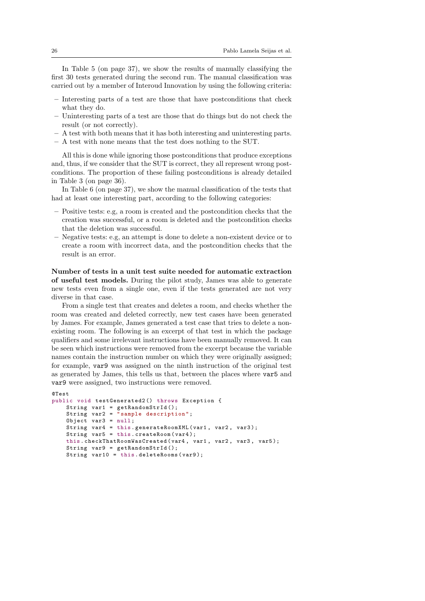In Table 5 (on page 37), we show the results of manually classifying the first 30 tests generated during the second run. The manual classification was carried out by a member of Interoud Innovation by using the following criteria:

- Interesting parts of a test are those that have postconditions that check what they do.
- Uninteresting parts of a test are those that do things but do not check the result (or not correctly).
- A test with both means that it has both interesting and uninteresting parts.
- A test with none means that the test does nothing to the SUT.

All this is done while ignoring those postconditions that produce exceptions and, thus, if we consider that the SUT is correct, they all represent wrong postconditions. The proportion of these failing postconditions is already detailed in Table 3 (on page 36).

In Table 6 (on page 37), we show the manual classification of the tests that had at least one interesting part, according to the following categories:

- Positive tests: e.g, a room is created and the postcondition checks that the creation was successful, or a room is deleted and the postcondition checks that the deletion was successful.
- Negative tests: e.g, an attempt is done to delete a non-existent device or to create a room with incorrect data, and the postcondition checks that the result is an error.

Number of tests in a unit test suite needed for automatic extraction of useful test models. During the pilot study, James was able to generate new tests even from a single one, even if the tests generated are not very diverse in that case.

From a single test that creates and deletes a room, and checks whether the room was created and deleted correctly, new test cases have been generated by James. For example, James generated a test case that tries to delete a nonexisting room. The following is an excerpt of that test in which the package qualifiers and some irrelevant instructions have been manually removed. It can be seen which instructions were removed from the excerpt because the variable names contain the instruction number on which they were originally assigned; for example, var9 was assigned on the ninth instruction of the original test as generated by James, this tells us that, between the places where var5 and var9 were assigned, two instructions were removed.

```
@Test
public void testGenerated2 () throws Exception {
    String var1 = getRandomStrId ();
    String var2 = " sample description ";
    Object var3 = null;String var4 = this.generateRoomXML (var1, var2, var3);
    String var5 = this.createRoom(var4);this.checkThatRoomWasCreated (var4, var1, var2, var3, var5);
    String var9 = getRandomStrId ();
    String var10 = this.deleteRooms (var9);
```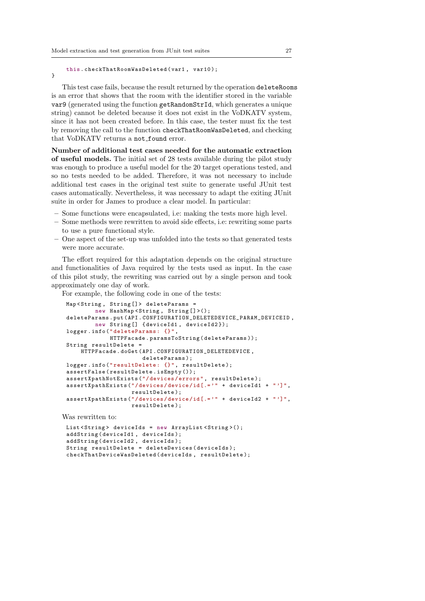#### this . checkThatRoomWasDeleted ( var1 , var10 );

#### }

This test case fails, because the result returned by the operation deleteRooms is an error that shows that the room with the identifier stored in the variable var9 (generated using the function getRandomStrId, which generates a unique string) cannot be deleted because it does not exist in the VoDKATV system, since it has not been created before. In this case, the tester must fix the test by removing the call to the function checkThatRoomWasDeleted, and checking that VoDKATV returns a not\_found error.

Number of additional test cases needed for the automatic extraction of useful models. The initial set of 28 tests available during the pilot study was enough to produce a useful model for the 20 target operations tested, and so no tests needed to be added. Therefore, it was not necessary to include additional test cases in the original test suite to generate useful JUnit test cases automatically. Nevertheless, it was necessary to adapt the exiting JUnit suite in order for James to produce a clear model. In particular:

- Some functions were encapsulated, i.e: making the tests more high level.
- Some methods were rewritten to avoid side effects, i.e: rewriting some parts to use a pure functional style.
- One aspect of the set-up was unfolded into the tests so that generated tests were more accurate.

The effort required for this adaptation depends on the original structure and functionalities of Java required by the tests used as input. In the case of this pilot study, the rewriting was carried out by a single person and took approximately one day of work.

For example, the following code in one of the tests:

```
Map<String, String [] > deleteParams =
        new HashMap<String, String []>();
deleteParams . put ( API . CONFIGURATION_DELETEDEVICE_PARAM_DEVICEID ,
        new String [] {deviceId1, deviceId2});
logger.info ("deleteParams: {}",
             HTTPFacade . paramsToString ( deleteParams ));
String resultDelete =
    HTTPFacade . doGet ( API . CONFIGURATION_DELETEDEVICE ,
                       deleteParams );
logger.info("resultDelete: {}", resultDelete);
assertFalse ( resultDelete . isEmpty ());
assertXpathNotExists (" / devices / errors ", resultDelete );
assertXpathExists (" / devices / device / id [.= ' " + deviceId1 + " '] ",
                    resultDelete );
assertXpathExists (" / devices / device / id [.= ' " + deviceId2 + " '] ",
                   resultDelete );
```
Was rewritten to:

```
List < String > deviceIds = new ArrayList < String > ();
addString ( deviceId1 , deviceIds );
addString ( deviceId2 , deviceIds );
String resultDelete = deleteDevices ( deviceIds );
checkThatDeviceWasDeleted ( deviceIds , resultDelete );
```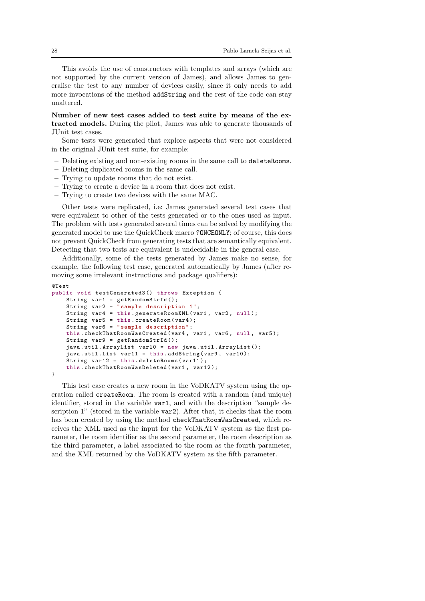This avoids the use of constructors with templates and arrays (which are not supported by the current version of James), and allows James to generalise the test to any number of devices easily, since it only needs to add more invocations of the method addString and the rest of the code can stay unaltered.

Number of new test cases added to test suite by means of the extracted models. During the pilot, James was able to generate thousands of JUnit test cases.

Some tests were generated that explore aspects that were not considered in the original JUnit test suite, for example:

- Deleting existing and non-existing rooms in the same call to deleteRooms.
- Deleting duplicated rooms in the same call.
- Trying to update rooms that do not exist.
- Trying to create a device in a room that does not exist.
- Trying to create two devices with the same MAC.

Other tests were replicated, i.e: James generated several test cases that were equivalent to other of the tests generated or to the ones used as input. The problem with tests generated several times can be solved by modifying the generated model to use the QuickCheck macro ?ONCEONLY; of course, this does not prevent QuickCheck from generating tests that are semantically equivalent. Detecting that two tests are equivalent is undecidable in the general case.

Additionally, some of the tests generated by James make no sense, for example, the following test case, generated automatically by James (after removing some irrelevant instructions and package qualifiers):

```
@Test
public void testGenerated3 () throws Exception {
    String var1 = getRandomStrId ();
    String var2 = "sample description 1";String var4 = this.generateRoomXML (var1, var2, null);
    String var5 = this.createRoom (var4);
    String var6 = "sample description";
    this.checkThatRoomWasCreated (var4, var1, var6, null, var5);
    String var9 = getRandomStrId();
    java . util . ArrayList var10 = new java . util . ArrayList ();
    java.util.List var11 = this.addString (var9, var10);
    String var12 = this.deleteRooms(var11);
    this.checkThatRoomWasDeleted (var1, var12);
}
```
This test case creates a new room in the VoDKATV system using the operation called createRoom. The room is created with a random (and unique) identifier, stored in the variable var1, and with the description "sample description 1" (stored in the variable var2). After that, it checks that the room has been created by using the method checkThatRoomWasCreated, which receives the XML used as the input for the VoDKATV system as the first parameter, the room identifier as the second parameter, the room description as the third parameter, a label associated to the room as the fourth parameter, and the XML returned by the VoDKATV system as the fifth parameter.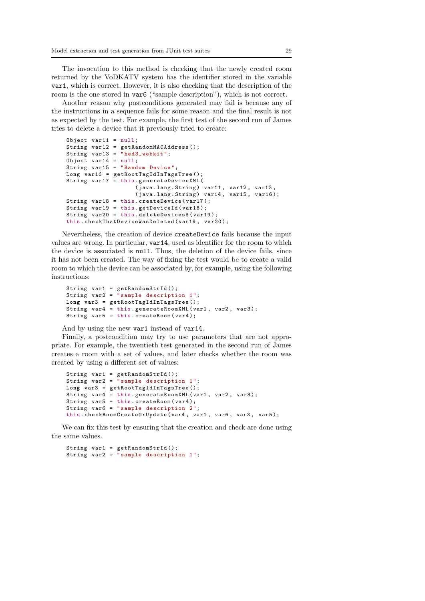The invocation to this method is checking that the newly created room returned by the VoDKATV system has the identifier stored in the variable var1, which is correct. However, it is also checking that the description of the room is the one stored in var6 ("sample description"), which is not correct.

Another reason why postconditions generated may fail is because any of the instructions in a sequence fails for some reason and the final result is not as expected by the test. For example, the first test of the second run of James tries to delete a device that it previously tried to create:

```
Object \ \ \text{var11} = \ \text{null};
String var12 = getRandomMACAddress ();
String var13 = \text{"hed3_webkit";}Object var14 = null;String var15 = " Random Device ";
Long var16 = getRootTagIdInTagsTree ();
String var17 = this . generateDeviceXML (
                     (java.lang. String) var11, var12, var13,
                     (java.lang(String) var14, var15, var16);String var18 = this. createDevice (var17);
String var19 = this.getDeviceId (var18);
String var20 = this.deleteDevicesS(var19);
this . checkThatDeviceWasDeleted ( var19 , var20 );
```
Nevertheless, the creation of device createDevice fails because the input values are wrong. In particular, var14, used as identifier for the room to which the device is associated is null. Thus, the deletion of the device fails, since it has not been created. The way of fixing the test would be to create a valid room to which the device can be associated by, for example, using the following instructions:

```
String var1 = getRandomStrId ();
String var2 = "sample description 1";
Long var3 = getRootTagIdInTagsTree ();
String var4 = this.generateRoomXML (var1, var2, var3);
String var5 = this.createRoom(var4);
```
And by using the new var1 instead of var14.

Finally, a postcondition may try to use parameters that are not appropriate. For example, the twentieth test generated in the second run of James creates a room with a set of values, and later checks whether the room was created by using a different set of values:

```
String var1 = getRandomStrId ();
String var2 = "sample description 1";
Long var3 = getRootTagIdInTagsTree ();
String var4 = this . generateRoomXML (var1, var2, var3);
String var5 = this.createRoom(var4);String var6 = "sample description 2";
this.checkRoomCreateOrUpdate (var4, var1, var6, var3, var5);
```
We can fix this test by ensuring that the creation and check are done using the same values.

```
String var1 = getRandomStrId ();
String var2 = "sample description 1";
```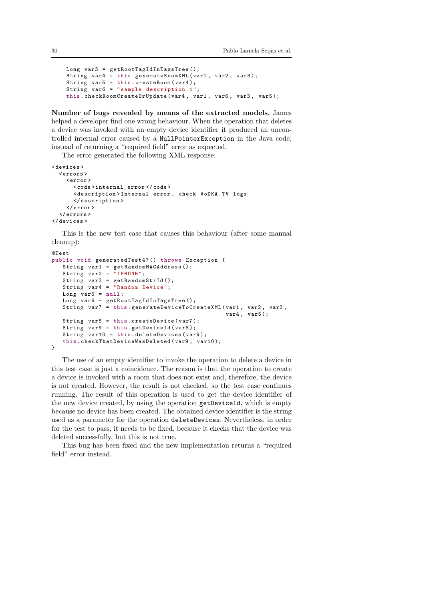```
Long var3 = getRootTagIdInTagsTree ();
String var4 = this . generateRoomXML (var1, var2, var3);
String var5 = this.createRoom(var4);String var6 = "sample description 1";
this.checkRoomCreateOrUpdate (var4, var1, var6, var3, var5);
```
Number of bugs revealed by means of the extracted models. James helped a developer find one wrong behaviour. When the operation that deletes a device was invoked with an empty device identifier it produced an uncontrolled internal error caused by a NullPointerException in the Java code, instead of returning a "required field" error as expected.

The error generated the following XML response:

```
< devices >
  < errors >
    < error >
       < code > internal_error </ code >
       < description > Internal error , check VoDKA . TV logs
       </ description >
    </ error >
  </ errors >
</ devices >
```
This is the new test case that causes this behaviour (after some manual cleanup):

```
@Test
public void generatedTest47 () throws Exception {
   String var1 = getRandomMACAddress ();
   String var2 = "IPHONE";
   String var3 = getRandomStrId ();
   String var4 = " Random Device ";
   Long var5 = null;Long var6 = getRootTagIdInTagsTree ();
   String var7 = this.generateDeviceToCreateXML (var1, var2, var3,
                                                  var4, var5):
   String var8 = this.createDevice(var7):
   String var9 = this.getDeviceId(var8);
   String var10 = this.deleteDevices (var9);
   this . checkThatDeviceWasDeleted ( var9 , var10 );
}
```
The use of an empty identifier to invoke the operation to delete a device in this test case is just a coincidence. The reason is that the operation to create a device is invoked with a room that does not exist and, therefore, the device is not created. However, the result is not checked, so the test case continues running. The result of this operation is used to get the device identifier of the new device created, by using the operation getDeviceId, which is empty because no device has been created. The obtained device identifier is the string used as a parameter for the operation deleteDevices. Nevertheless, in order for the test to pass, it needs to be fixed, because it checks that the device was deleted successfully, but this is not true.

This bug has been fixed and the new implementation returns a "required field" error instead.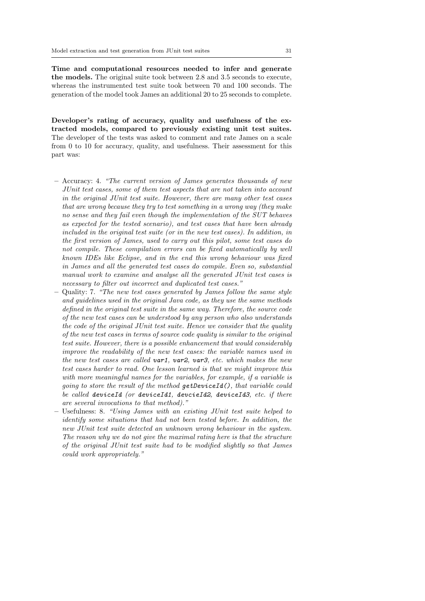Time and computational resources needed to infer and generate the models. The original suite took between 2.8 and 3.5 seconds to execute, whereas the instrumented test suite took between 70 and 100 seconds. The generation of the model took James an additional 20 to 25 seconds to complete.

Developer's rating of accuracy, quality and usefulness of the extracted models, compared to previously existing unit test suites. The developer of the tests was asked to comment and rate James on a scale from 0 to 10 for accuracy, quality, and usefulness. Their assessment for this part was:

- Accuracy: 4. *"The current version of James generates thousands of new JUnit test cases, some of them test aspects that are not taken into account in the original JUnit test suite. However, there are many other test cases that are wrong because they try to test something in a wrong way (they make no sense and they fail even though the implementation of the SUT behaves as expected for the tested scenario), and test cases that have been already included in the original test suite (or in the new test cases). In addition, in the first version of James, used to carry out this pilot, some test cases do not compile. These compilation errors can be fixed automatically by well known IDEs like Eclipse, and in the end this wrong behaviour was fixed in James and all the generated test cases do compile. Even so, substantial manual work to examine and analyse all the generated JUnit test cases is necessary to filter out incorrect and duplicated test cases."*
- Quality: 7. *"The new test cases generated by James follow the same style and guidelines used in the original Java code, as they use the same methods defined in the original test suite in the same way. Therefore, the source code of the new test cases can be understood by any person who also understands the code of the original JUnit test suite. Hence we consider that the quality of the new test cases in terms of source code quality is similar to the original test suite. However, there is a possible enhancement that would considerably improve the readability of the new test cases: the variable names used in the new test cases are called* var1*,* var2*,* var3*, etc. which makes the new test cases harder to read. One lesson learned is that we might improve this with more meaningful names for the variables, for example, if a variable is going to store the result of the method* getDeviceId()*, that variable could be called* deviceId *(or* deviceId1*,* devcieId2*,* deviceId3*, etc. if there are several invocations to that method)."*
- Usefulness: 8. *"Using James with an existing JUnit test suite helped to identify some situations that had not been tested before. In addition, the new JUnit test suite detected an unknown wrong behaviour in the system. The reason why we do not give the maximal rating here is that the structure of the original JUnit test suite had to be modified slightly so that James could work appropriately."*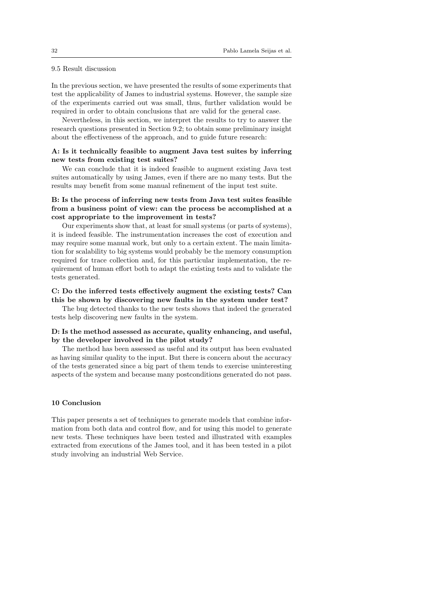#### 9.5 Result discussion

In the previous section, we have presented the results of some experiments that test the applicability of James to industrial systems. However, the sample size of the experiments carried out was small, thus, further validation would be required in order to obtain conclusions that are valid for the general case.

Nevertheless, in this section, we interpret the results to try to answer the research questions presented in Section 9.2; to obtain some preliminary insight about the effectiveness of the approach, and to guide future research:

#### A: Is it technically feasible to augment Java test suites by inferring new tests from existing test suites?

We can conclude that it is indeed feasible to augment existing Java test suites automatically by using James, even if there are no many tests. But the results may benefit from some manual refinement of the input test suite.

#### B: Is the process of inferring new tests from Java test suites feasible from a business point of view: can the process be accomplished at a cost appropriate to the improvement in tests?

Our experiments show that, at least for small systems (or parts of systems), it is indeed feasible. The instrumentation increases the cost of execution and may require some manual work, but only to a certain extent. The main limitation for scalability to big systems would probably be the memory consumption required for trace collection and, for this particular implementation, the requirement of human effort both to adapt the existing tests and to validate the tests generated.

#### C: Do the inferred tests effectively augment the existing tests? Can this be shown by discovering new faults in the system under test?

The bug detected thanks to the new tests shows that indeed the generated tests help discovering new faults in the system.

#### D: Is the method assessed as accurate, quality enhancing, and useful, by the developer involved in the pilot study?

The method has been assessed as useful and its output has been evaluated as having similar quality to the input. But there is concern about the accuracy of the tests generated since a big part of them tends to exercise uninteresting aspects of the system and because many postconditions generated do not pass.

#### 10 Conclusion

This paper presents a set of techniques to generate models that combine information from both data and control flow, and for using this model to generate new tests. These techniques have been tested and illustrated with examples extracted from executions of the James tool, and it has been tested in a pilot study involving an industrial Web Service.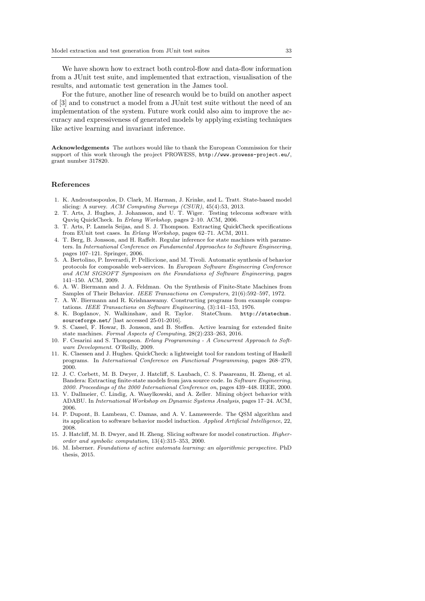We have shown how to extract both control-flow and data-flow information from a JUnit test suite, and implemented that extraction, visualisation of the results, and automatic test generation in the James tool.

For the future, another line of research would be to build on another aspect of [3] and to construct a model from a JUnit test suite without the need of an implementation of the system. Future work could also aim to improve the accuracy and expressiveness of generated models by applying existing techniques like active learning and invariant inference.

Acknowledgements The authors would like to thank the European Commission for their support of this work through the project PROWESS, http://www.prowess-project.eu/, grant number 317820.

#### References

- 1. K. Androutsopoulos, D. Clark, M. Harman, J. Krinke, and L. Tratt. State-based model slicing: A survey. *ACM Computing Surveys (CSUR)*, 45(4):53, 2013.
- 2. T. Arts, J. Hughes, J. Johansson, and U. T. Wiger. Testing telecoms software with Quviq QuickCheck. In *Erlang Workshop*, pages 2–10. ACM, 2006.
- 3. T. Arts, P. Lamela Seijas, and S. J. Thompson. Extracting QuickCheck specifications from EUnit test cases. In *Erlang Workshop*, pages 62–71. ACM, 2011.
- 4. T. Berg, B. Jonsson, and H. Raffelt. Regular inference for state machines with parameters. In *International Conference on Fundamental Approaches to Software Engineering*, pages 107–121. Springer, 2006.
- 5. A. Bertolino, P. Inverardi, P. Pelliccione, and M. Tivoli. Automatic synthesis of behavior protocols for composable web-services. In *European Software Engineering Conference and ACM SIGSOFT Symposium on the Foundations of Software Engineering*, pages 141–150. ACM, 2009.
- 6. A. W. Biermann and J. A. Feldman. On the Synthesis of Finite-State Machines from Samples of Their Behavior. *IEEE Transactions on Computers*, 21(6):592–597, 1972.
- 7. A. W. Biermann and R. Krishnaswamy. Constructing programs from example computations. *IEEE Transactions on Software Engineering*, (3):141–153, 1976.
- 8. K. Bogdanov, N. Walkinshaw, and R. Taylor. StateChum. http://statechum. sourceforge.net/ [last accessed 25-01-2016].
- 9. S. Cassel, F. Howar, B. Jonsson, and B. Steffen. Active learning for extended finite state machines. *Formal Aspects of Computing*, 28(2):233–263, 2016.
- 10. F. Cesarini and S. Thompson. *Erlang Programming A Concurrent Approach to Software Development*. O'Reilly, 2009.
- 11. K. Claessen and J. Hughes. QuickCheck: a lightweight tool for random testing of Haskell programs. In *International Conference on Functional Programming*, pages 268–279, 2000.
- 12. J. C. Corbett, M. B. Dwyer, J. Hatcliff, S. Laubach, C. S. Pasareanu, H. Zheng, et al. Bandera: Extracting finite-state models from java source code. In *Software Engineering, 2000. Proceedings of the 2000 International Conference on*, pages 439–448. IEEE, 2000.
- 13. V. Dallmeier, C. Lindig, A. Wasylkowski, and A. Zeller. Mining object behavior with ADABU. In *International Workshop on Dynamic Systems Analysis*, pages 17–24. ACM, 2006.
- 14. P. Dupont, B. Lambeau, C. Damas, and A. V. Lamsweerde. The QSM algorithm and its application to software behavior model induction. *Applied Artificial Intelligence*, 22, 2008.
- 15. J. Hatcliff, M. B. Dwyer, and H. Zheng. Slicing software for model construction. *Higherorder and symbolic computation*, 13(4):315–353, 2000.
- 16. M. Isberner. *Foundations of active automata learning: an algorithmic perspective*. PhD thesis, 2015.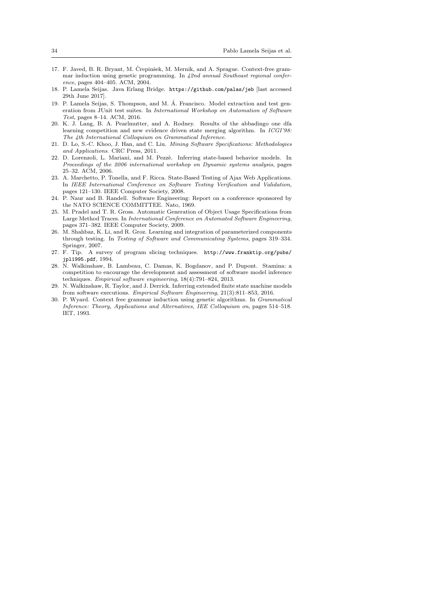- 17. F. Javed, B. R. Bryant, M. Črepinšek, M. Mernik, and A. Sprague. Context-free grammar induction using genetic programming. In *42nd annual Southeast regional conference*, pages 404–405. ACM, 2004.
- 18. P. Lamela Seijas. Java Erlang Bridge. https://github.com/palas/jeb [last accessed 29th June 2017].
- 19. P. Lamela Seijas, S. Thompson, and M. A. Francisco. Model extraction and test gen- ´ eration from JUnit test suites. In *International Workshop on Automation of Software Test*, pages 8–14. ACM, 2016.
- 20. K. J. Lang, B. A. Pearlmutter, and A. Rodney. Results of the abbadingo one dfa learning competition and new evidence driven state merging algorithm. In *ICGI'98: The 4th International Colloquium on Grammatical Inference*.
- 21. D. Lo, S.-C. Khoo, J. Han, and C. Liu. *Mining Software Specifications: Methodologies and Applications*. CRC Press, 2011.
- 22. D. Lorenzoli, L. Mariani, and M. Pezzè. Inferring state-based behavior models. In *Proceedings of the 2006 international workshop on Dynamic systems analysis*, pages 25–32. ACM, 2006.
- 23. A. Marchetto, P. Tonella, and F. Ricca. State-Based Testing of Ajax Web Applications. In *IEEE International Conference on Software Testing Verification and Validation*, pages 121–130. IEEE Computer Society, 2008.
- 24. P. Naur and B. Randell. Software Engineering: Report on a conference sponsored by the NATO SCIENCE COMMITTEE. Nato, 1969.
- 25. M. Pradel and T. R. Gross. Automatic Generation of Object Usage Specifications from Large Method Traces. In *International Conference on Automated Software Engineering*, pages 371–382. IEEE Computer Society, 2009.
- 26. M. Shahbaz, K. Li, and R. Groz. Learning and integration of parameterized components through testing. In *Testing of Software and Communicating Systems*, pages 319–334. Springer, 2007.
- 27. F. Tip. A survey of program slicing techniques. http://www.franktip.org/pubs/ jpl1995.pdf, 1994.
- 28. N. Walkinshaw, B. Lambeau, C. Damas, K. Bogdanov, and P. Dupont. Stamina: a competition to encourage the development and assessment of software model inference techniques. *Empirical software engineering*, 18(4):791–824, 2013.
- 29. N. Walkinshaw, R. Taylor, and J. Derrick. Inferring extended finite state machine models from software executions. *Empirical Software Engineering*, 21(3):811–853, 2016.
- 30. P. Wyard. Context free grammar induction using genetic algorithms. In *Grammatical Inference: Theory, Applications and Alternatives, IEE Colloquium on*, pages 514–518. IET, 1993.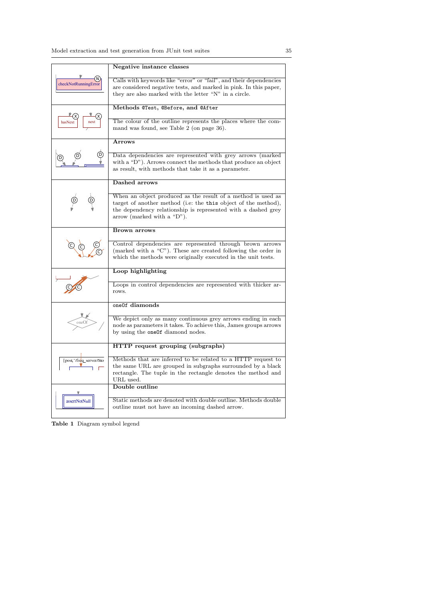|                         | Negative instance classes                                                                                                                                                                                                            |
|-------------------------|--------------------------------------------------------------------------------------------------------------------------------------------------------------------------------------------------------------------------------------|
| checkNotRunningErr      | Calls with keywords like "error" or "fail", and their dependencies<br>are considered negative tests, and marked in pink. In this paper,<br>they are also marked with the letter "N" in a circle.                                     |
|                         | Methods @Test, @Before, and @After                                                                                                                                                                                                   |
| hasNe                   | The colour of the outline represents the places where the com-<br>mand was found, see Table 2 (on page 36).                                                                                                                          |
|                         | Arrows                                                                                                                                                                                                                               |
|                         | Data dependencies are represented with grey arrows (marked)<br>with a "D"). Arrows connect the methods that produce an object<br>as result, with methods that take it as a parameter.                                                |
|                         | Dashed arrows                                                                                                                                                                                                                        |
|                         | When an object produced as the result of a method is used as<br>target of another method (i.e. the <b>this</b> object of the method),<br>the dependency relationship is represented with a dashed grey<br>arrow (marked with a "D"). |
|                         | <b>Brown arrows</b>                                                                                                                                                                                                                  |
|                         | Control dependencies are represented through brown arrows<br>(marked with a "C"). These are created following the order in<br>which the methods were originally executed in the unit tests.                                          |
|                         | Loop highlighting                                                                                                                                                                                                                    |
|                         | Loops in control dependencies are represented with thicker ar-<br>rows.                                                                                                                                                              |
|                         | oneOf diamonds                                                                                                                                                                                                                       |
|                         | We depict only as many continuous grey arrows ending in each<br>node as parameters it takes. To achieve this, James groups arrows<br>by using the oneOf diamond nodes.                                                               |
|                         | HTTP request grouping (subgraphs)                                                                                                                                                                                                    |
| {post,"/freq_server/Sto | Methods that are inferred to be related to a HTTP request to<br>the same URL are grouped in subgraphs surrounded by a black<br>rectangle. The tuple in the rectangle denotes the method and<br>URL used.                             |
|                         | Double outline                                                                                                                                                                                                                       |
| assertNotNull           | Static methods are denoted with double outline. Methods double<br>outline must not have an incoming dashed arrow.                                                                                                                    |

Table 1 Diagram symbol legend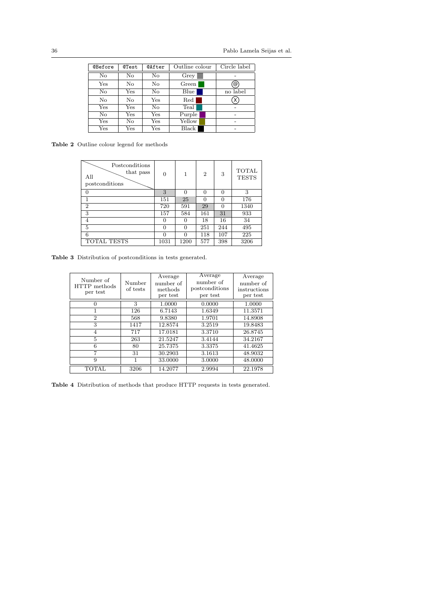| <b>@Before</b> | <b>@Test</b> | <b>@After</b> | Outline colour | Circle label             |
|----------------|--------------|---------------|----------------|--------------------------|
| No             | No           | No            | Grey           |                          |
| $_{\rm Yes}$   | No           | No            | Green          | ⊚)                       |
| No             | $_{\rm Yes}$ | No            | Blue           | no label                 |
| No             | No           | Yes           | Red            |                          |
| $_{\rm Yes}$   | $_{\rm Yes}$ | No            | Teal           |                          |
| No             | $_{\rm Yes}$ | $_{\rm Yes}$  | Purple         | $\overline{\phantom{a}}$ |
| $_{\rm Yes}$   | No           | $_{\rm Yes}$  | Yellow         |                          |
| $_{\rm Yes}$   | $_{\rm Yes}$ | $_{\rm Yes}$  | Black          | $\overline{\phantom{0}}$ |

Table 2 Outline colour legend for methods

| Postconditions<br>that pass<br>All<br>postconditions | $\Omega$         | 1                | $\overline{2}$ | 3        | <b>TOTAL</b><br><b>TESTS</b> |
|------------------------------------------------------|------------------|------------------|----------------|----------|------------------------------|
| 0                                                    | 3                | $\Omega$         | $\Omega$       | $\Omega$ | 3                            |
|                                                      | 151              | 25               | $\Omega$       | 0        | 176                          |
| $\overline{2}$                                       | 720              | 591              | 29             | 0        | 1340                         |
| 3                                                    | 157              | 584              | 161            | 31       | 933                          |
| 4                                                    | $\left( \right)$ | $\left( \right)$ | 18             | 16       | 34                           |
| 5                                                    | $\Omega$         | $\Omega$         | 251            | 244      | 495                          |
| 6                                                    | 0                | ∩                | 118            | 107      | 225                          |
| <b>TOTAL TESTS</b>                                   | 1031             | 1200             | 577            | 398      | 3206                         |

Table 3 Distribution of postconditions in tests generated.

|                           |          | Average   | Average        | Average      |
|---------------------------|----------|-----------|----------------|--------------|
| Number of<br>HTTP methods | Number   | number of | number of      | number of    |
| per test                  | of tests | methods   | postconditions | instructions |
|                           |          | per test  | per test       | per test     |
| 0                         | 3        | 1.0000    | 0.0000         | 1.0000       |
| 1                         | 126      | 6.7143    | 1.6349         | 11.3571      |
| $\mathfrak{D}$            | 568      | 9.8380    | 1.9701         | 14.8908      |
| 3                         | 1417     | 12.8574   | 3.2519         | 19.8483      |
| 4                         | 717      | 17.0181   | 3.3710         | 26.8745      |
| 5                         | 263      | 21.5247   | 3.4144         | 34.2167      |
| 6                         | 80       | 25.7375   | 3.3375         | 41.4625      |
| 7                         | 31       | 30.2903   | 3.1613         | 48.9032      |
| 9                         | 1        | 33.0000   | 3.0000         | 48.0000      |
| <b>TOTAL</b>              | 3206     | 14.2077   | 2.9994         | 22.1978      |

Table 4 Distribution of methods that produce HTTP requests in tests generated.